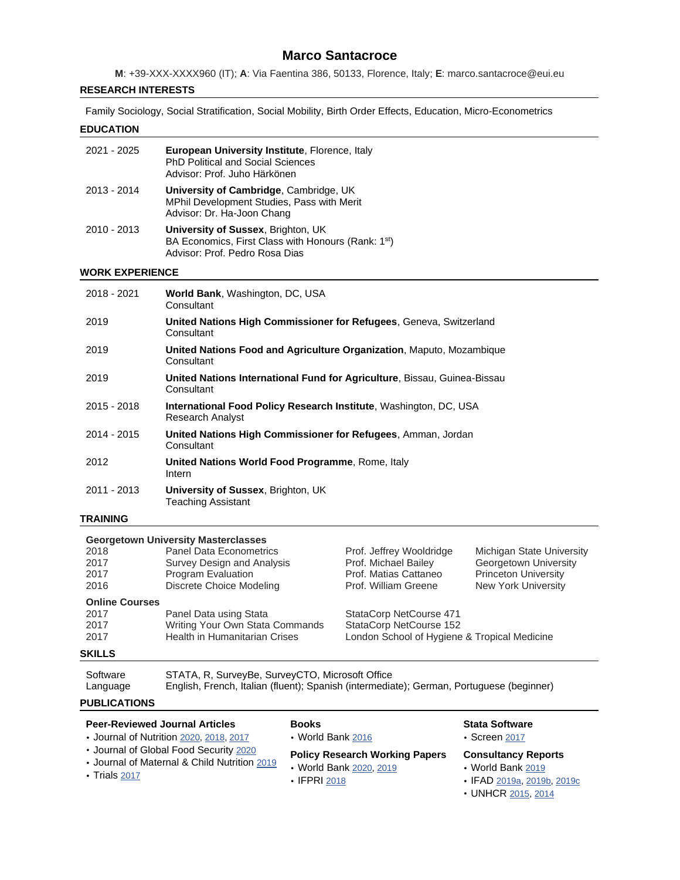# **Marco Santacroce**

**M**: +39-XXX-XXXX960 (IT); **A**: Via Faentina 386, 50133, Florence, Italy; **E**: marco.santacroce@eui.eu

#### **RESEARCH INTERESTS**

Family Sociology, Social Stratification, Social Mobility, Birth Order Effects, Education, Micro-Econometrics

#### **EDUCATION**

| 2021 - 2025 | <b>European University Institute, Florence, Italy</b><br><b>PhD Political and Social Sciences</b><br>Advisor: Prof. Juho Härkönen |
|-------------|-----------------------------------------------------------------------------------------------------------------------------------|
| 2013 - 2014 | University of Cambridge, Cambridge, UK<br>MPhil Development Studies, Pass with Merit<br>Advisor: Dr. Ha-Joon Chang                |
| 2010 - 2013 | University of Sussex, Brighton, UK<br>BA Economics, First Class with Honours (Rank: 1st)<br>Advisor: Prof. Pedro Rosa Dias        |

#### **WORK EXPERIENCE**

| 2018 - 2021   | World Bank, Washington, DC, USA<br>Consultant                                                |
|---------------|----------------------------------------------------------------------------------------------|
| 2019          | United Nations High Commissioner for Refugees, Geneva, Switzerland<br>Consultant             |
| 2019          | United Nations Food and Agriculture Organization, Maputo, Mozambique<br>Consultant           |
| 2019          | United Nations International Fund for Agriculture, Bissau, Guinea-Bissau<br>Consultant       |
| $2015 - 2018$ | International Food Policy Research Institute, Washington, DC, USA<br><b>Research Analyst</b> |
| 2014 - 2015   | United Nations High Commissioner for Refugees, Amman, Jordan<br>Consultant                   |
| 2012          | United Nations World Food Programme, Rome, Italy<br>Intern                                   |
| 2011 - 2013   | University of Sussex, Brighton, UK<br><b>Teaching Assistant</b>                              |

# **TRAINING**

# **Georgetown University Masterclasses** 2018 Panel Data Econometrics Prof. Jeffrey Wooldridge Michigan State University 2017 Survey Design and Analysis Prof. Michael Bailey Georgetown University<br>2017 Program Evaluation Prof. Matias Cattaneo Princeton University 2017 Program Evaluation Prof. Matias Cattaneo Prof. Matias Cattaneo Prof. William Greene Discrete Choice Modeling Prof. William Greene New York University **Online Courses** 2017 Panel Data using Stata StataCorp NetCourse 471<br>2017 Writing Your Own Stata Commands StataCorp NetCourse 152 Writing Your Own Stata Commands 2017 Health in Humanitarian Crises London School of Hygiene & Tropical Medicine **SKILLS**

| Software | STATA, R, SurveyBe, SurveyCTO, Microsoft Office                                          |
|----------|------------------------------------------------------------------------------------------|
| Language | English, French, Italian (fluent); Spanish (intermediate); German, Portuguese (beginner) |

#### **PUBLICATIONS**

| <b>Peer-Reviewed Journal Articles</b>        | <b>Books</b>                          | <b>Stata Software</b>      |
|----------------------------------------------|---------------------------------------|----------------------------|
| • Journal of Nutrition 2020, 2018, 2017      | • World Bank 2016                     | $\cdot$ Screen 2017        |
| • Journal of Global Food Security 2020       | <b>Policy Research Working Papers</b> | <b>Consultancy Reports</b> |
| • Journal of Maternal & Child Nutrition 2019 | • World Bank 2020, 2019               | • World Bank 2019          |
| $\cdot$ Trials 2017                          | $\cdot$ IFPRI 2018                    | • IFAD 2019a, 2019b, 2019c |

• UNHCR [2015,](https://reliefweb.int/sites/reliefweb.int/files/resources/vaf.pdf) [2014](https://www.unhcr.org/54b685079.pdf)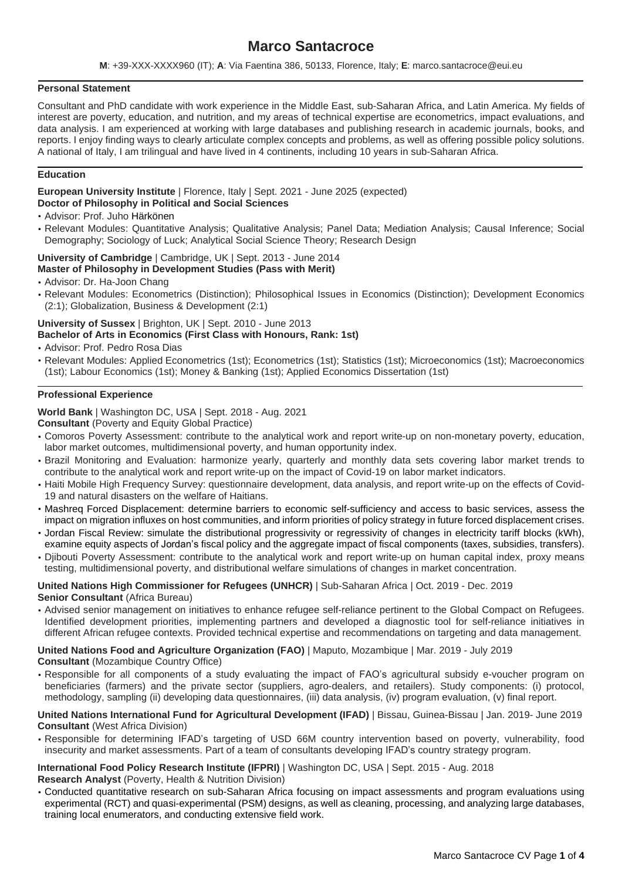# **Marco Santacroce**

**M**: +39-XXX-XXXX960 (IT); **A**: Via Faentina 386, 50133, Florence, Italy; **E**: marco.santacroce@eui.eu

# **Personal Statement**

Consultant and PhD candidate with work experience in the Middle East, sub-Saharan Africa, and Latin America. My fields of interest are poverty, education, and nutrition, and my areas of technical expertise are econometrics, impact evaluations, and data analysis. I am experienced at working with large databases and publishing research in academic journals, books, and reports. I enjoy finding ways to clearly articulate complex concepts and problems, as well as offering possible policy solutions. A national of Italy, I am trilingual and have lived in 4 continents, including 10 years in sub-Saharan Africa.

#### **Education**

**European University Institute** | Florence, Italy | Sept. 2021 - June 2025 (expected) **Doctor of Philosophy in Political and Social Sciences**

- Advisor: Prof. Juho Härkönen
- Relevant Modules: Quantitative Analysis; Qualitative Analysis; Panel Data; Mediation Analysis; Causal Inference; Social Demography; Sociology of Luck; Analytical Social Science Theory; Research Design

# **University of Cambridge** | Cambridge, UK | Sept. 2013 - June 2014

- **Master of Philosophy in Development Studies (Pass with Merit)** • Advisor: Dr. Ha-Joon Chang
- Relevant Modules: Econometrics (Distinction); Philosophical Issues in Economics (Distinction); Development Economics (2:1); Globalization, Business & Development (2:1)

# **University of Sussex** | Brighton, UK | Sept. 2010 - June 2013 **Bachelor of Arts in Economics (First Class with Honours, Rank: 1st)**

- Advisor: Prof. Pedro Rosa Dias
- Relevant Modules: Applied Econometrics (1st); Econometrics (1st); Statistics (1st); Microeconomics (1st); Macroeconomics (1st); Labour Economics (1st); Money & Banking (1st); Applied Economics Dissertation (1st)

#### **Professional Experience**

**World Bank** | Washington DC, USA | Sept. 2018 - Aug. 2021

**Consultant** (Poverty and Equity Global Practice)

- Comoros Poverty Assessment: contribute to the analytical work and report write-up on non-monetary poverty, education, labor market outcomes, multidimensional poverty, and human opportunity index.
- Brazil Monitoring and Evaluation: harmonize yearly, quarterly and monthly data sets covering labor market trends to contribute to the analytical work and report write-up on the impact of Covid-19 on labor market indicators.
- Haiti Mobile High Frequency Survey: questionnaire development, data analysis, and report write-up on the effects of Covid-19 and natural disasters on the welfare of Haitians.
- Mashreq Forced Displacement: determine barriers to economic self-sufficiency and access to basic services, assess the impact on migration influxes on host communities, and inform priorities of policy strategy in future forced displacement crises.
- Jordan Fiscal Review: simulate the distributional progressivity or regressivity of changes in electricity tariff blocks (kWh), examine equity aspects of Jordan's fiscal policy and the aggregate impact of fiscal components (taxes, subsidies, transfers).
- Djibouti Poverty Assessment: contribute to the analytical work and report write-up on human capital index, proxy means testing, multidimensional poverty, and distributional welfare simulations of changes in market concentration.

#### **United Nations High Commissioner for Refugees (UNHCR)** | Sub-Saharan Africa | Oct. 2019 - Dec. 2019 **Senior Consultant** (Africa Bureau)

• Advised senior management on initiatives to enhance refugee self-reliance pertinent to the Global Compact on Refugees. Identified development priorities, implementing partners and developed a diagnostic tool for self-reliance initiatives in different African refugee contexts. Provided technical expertise and recommendations on targeting and data management.

# **United Nations Food and Agriculture Organization (FAO)** | Maputo, Mozambique | Mar. 2019 - July 2019

- **Consultant** (Mozambique Country Office)
- Responsible for all components of a study evaluating the impact of FAO's agricultural subsidy e-voucher program on beneficiaries (farmers) and the private sector (suppliers, agro-dealers, and retailers). Study components: (i) protocol, methodology, sampling (ii) developing data questionnaires, (iii) data analysis, (iv) program evaluation, (v) final report.

#### **United Nations International Fund for Agricultural Development (IFAD)** | Bissau, Guinea-Bissau | Jan. 2019- June 2019 **Consultant** (West Africa Division)

• Responsible for determining IFAD's targeting of USD 66M country intervention based on poverty, vulnerability, food insecurity and market assessments. Part of a team of consultants developing IFAD's country strategy program.

#### **International Food Policy Research Institute (IFPRI)** | Washington DC, USA | Sept. 2015 - Aug. 2018 **Research Analyst** (Poverty, Health & Nutrition Division)

• Conducted quantitative research on sub-Saharan Africa focusing on impact assessments and program evaluations using experimental (RCT) and quasi-experimental (PSM) designs, as well as cleaning, processing, and analyzing large databases, training local enumerators, and conducting extensive field work.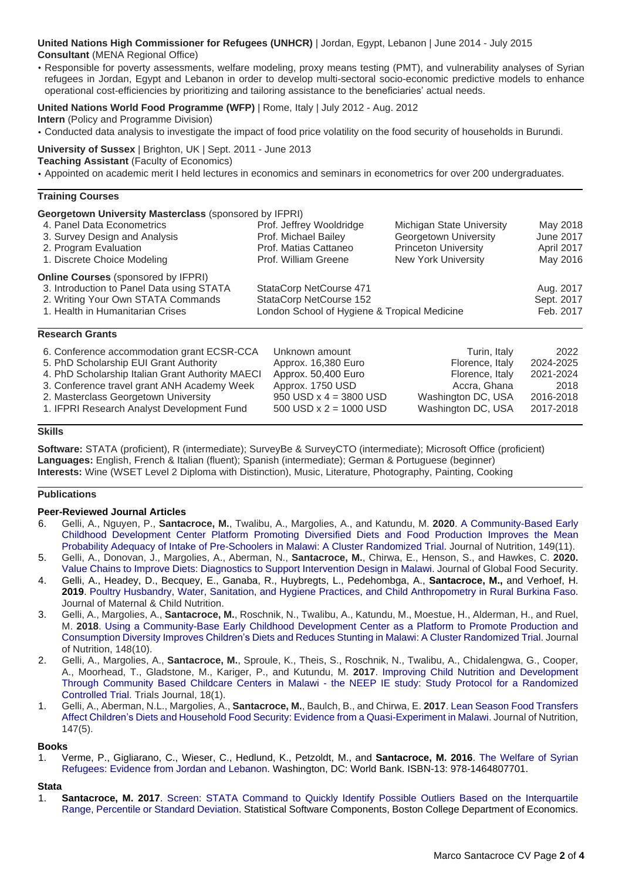**United Nations High Commissioner for Refugees (UNHCR)** | Jordan, Egypt, Lebanon | June 2014 - July 2015 **Consultant** (MENA Regional Office)

• Responsible for poverty assessments, welfare modeling, proxy means testing (PMT), and vulnerability analyses of Syrian refugees in Jordan, Egypt and Lebanon in order to develop multi-sectoral socio-economic predictive models to enhance operational cost-efficiencies by prioritizing and tailoring assistance to the beneficiaries' actual needs.

# **United Nations World Food Programme (WFP)** | Rome, Italy | July 2012 - Aug. 2012

**Intern** (Policy and Programme Division)

• Conducted data analysis to investigate the impact of food price volatility on the food security of households in Burundi.

**University of Sussex** | Brighton, UK | Sept. 2011 - June 2013

**Teaching Assistant** (Faculty of Economics)

• Appointed on academic merit I held lectures in economics and seminars in econometrics for over 200 undergraduates.

#### **Training Courses**

**Georgetown University Masterclass** (sponsored by IFPRI)

| 4. Panel Data Econometrics                 | Prof. Jeffrey Wooldridge                     | Michigan State University   | May 2018         |
|--------------------------------------------|----------------------------------------------|-----------------------------|------------------|
| 3. Survey Design and Analysis              | Prof. Michael Bailey                         | Georgetown University       | <b>June 2017</b> |
| 2. Program Evaluation                      | Prof. Matias Cattaneo                        | <b>Princeton University</b> | April 2017       |
| 1. Discrete Choice Modeling                | Prof. William Greene                         | <b>New York University</b>  | May 2016         |
| <b>Online Courses</b> (sponsored by IFPRI) |                                              |                             |                  |
| 3. Introduction to Panel Data using STATA  | StataCorp NetCourse 471                      |                             | Aug. 2017        |
| 2. Writing Your Own STATA Commands         | StataCorp NetCourse 152                      |                             | Sept. 2017       |
| 1. Health in Humanitarian Crises           | London School of Hygiene & Tropical Medicine |                             | Feb. 2017        |
|                                            |                                              |                             |                  |

#### **Research Grants**

| 6. Conference accommodation grant ECSR-CCA       | Unknown amount           | Turin, Italy       | 2022      |
|--------------------------------------------------|--------------------------|--------------------|-----------|
| 5. PhD Scholarship EUI Grant Authority           | Approx. 16,380 Euro      | Florence, Italy    | 2024-2025 |
| 4. PhD Scholarship Italian Grant Authority MAECI | Approx. 50,400 Euro      | Florence, Italy    | 2021-2024 |
| 3. Conference travel grant ANH Academy Week      | Approx. 1750 USD         | Accra, Ghana       | 2018      |
| 2. Masterclass Georgetown University             | 950 USD $x$ 4 = 3800 USD | Washington DC, USA | 2016-2018 |
| 1. IFPRI Research Analyst Development Fund       | 500 USD $x = 1000$ USD   | Washington DC, USA | 2017-2018 |

# **Skills**

**Software:** STATA (proficient), R (intermediate); SurveyBe & SurveyCTO (intermediate); Microsoft Office (proficient) **Languages:** English, French & Italian (fluent); Spanish (intermediate); German & Portuguese (beginner) **Interests:** Wine (WSET Level 2 Diploma with Distinction), Music, Literature, Photography, Painting, Cooking

#### **Publications**

#### **Peer-Reviewed Journal Articles**

- 6. Gelli, A., Nguyen, P., **Santacroce, M.**, Twalibu, A., Margolies, A., and Katundu, M. **2020**. A [Community-Based](https://academic.oup.com/jn/advance-article/doi/10.1093/jn/nxz245/5588099) Early Childhood [Development](https://academic.oup.com/jn/advance-article/doi/10.1093/jn/nxz245/5588099) Center Platform Promoting Diversified Diets and Food Production Improves the Mean Probability Adequacy of Intake of [Pre-Schoolers](https://academic.oup.com/jn/advance-article/doi/10.1093/jn/nxz245/5588099) in Malawi: A Cluster Randomized Trial. Journal of Nutrition, 149(11).
- 5. Gelli, A., Donovan, J., Margolies, A., Aberman, N., **Santacroce, M.**, Chirwa, E., Henson, S., and Hawkes, C. **2020.** Value Chains to Improve Diets: Diagnostics to Support [Intervention](https://www.sciencedirect.com/science/article/pii/S2211912418301081) Design in Malawi. Journal of Global Food Security.
- 4. Gelli, A., Headey, D., Becquey, E., Ganaba, R., Huybregts, L., Pedehombga, A., **Santacroce, M.,** and Verhoef, H. **2019**. Poultry Husbandry, Water, Sanitation, and Hygiene Practices, and Child [Anthropometry](https://onlinelibrary.wiley.com/doi/abs/10.1111/mcn.12818) in Rural Burkina Faso. Journal of Maternal & Child Nutrition.
- 3. Gelli, A., Margolies, A., **Santacroce, M.**, Roschnik, N., Twalibu, A., Katundu, M., Moestue, H., Alderman, H., and Ruel, M. **2018**. Using a [Community-Base](https://academic.oup.com/jn/advance-article/doi/10.1093/jn/nxy148/5094777) Early Childhood Development Center as a Platform to Promote Production and [Consumption](https://academic.oup.com/jn/advance-article/doi/10.1093/jn/nxy148/5094777) Diversity Improves Children's Diets and Reduces Stunting in Malawi: A Cluster Randomized Trial. Journal of Nutrition, 148(10).
- 2. Gelli, A., Margolies, A., **Santacroce, M.**, Sproule, K., Theis, S., Roschnik, N., Twalibu, A., Chidalengwa, G., Cooper, A., Moorhead, T., Gladstone, M., Kariger, P., and Kutundu, M. **2017**. Improving Child Nutrition and [Development](https://trialsjournal.biomedcentral.com/articles/10.1186/s13063-017-2003-7) Through Community Based Childcare Centers in Malawi - the NEEP IE study: Study Protocol for a [Randomized](https://trialsjournal.biomedcentral.com/articles/10.1186/s13063-017-2003-7) [Controlled](https://trialsjournal.biomedcentral.com/articles/10.1186/s13063-017-2003-7) Trial. Trials Journal, 18(1).
- 1. Gelli, A., Aberman, N.L., Margolies, A., **Santacroce, M.**, Baulch, B., and Chirwa, E. **2017**. Lean Season Food [Transfers](http://jn.nutrition.org/content/early/2017/04/05/jn.116.246652.abstract) Affect Children's Diets and Household Food Security: Evidence from a [Quasi-Experiment](http://jn.nutrition.org/content/early/2017/04/05/jn.116.246652.abstract) in Malawi. Journal of Nutrition, 147(5).

#### **Books**

1. Verme, P., Gigliarano, C., Wieser, C., Hedlund, K., Petzoldt, M., and **Santacroce, M. 2016**. The [Welfare](https://openknowledge.worldbank.org/handle/10986/23228) of Syrian [Refugees:](https://openknowledge.worldbank.org/handle/10986/23228) Evidence from Jordan and Lebanon. Washington, DC: World Bank. ISBN-13: 978-1464807701.

#### **Stata**

1. **Santacroce, M. 2017**. Screen: STATA Command to Quickly Identify Possible Outliers Based on the [Interquartile](https://ideas.repec.org/c/boc/bocode/s458348.html) Range, [Percentile](https://ideas.repec.org/c/boc/bocode/s458348.html) or Standard Deviation. Statistical Software Components, Boston College Department of Economics.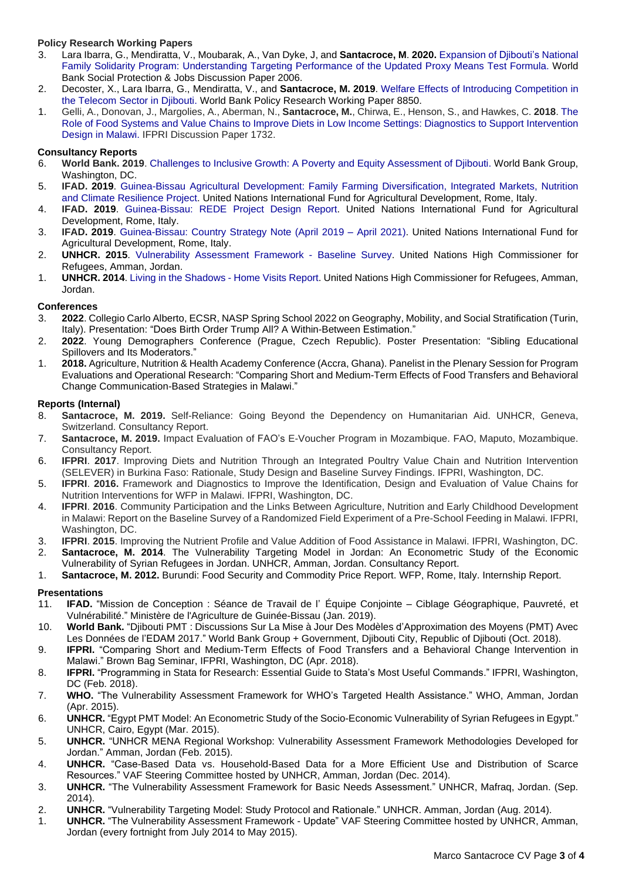# **Policy Research Working Papers**

- 3. Lara Ibarra, G., Mendiratta, V., Moubarak, A., Van Dyke, J, and **Santacroce, M**. **2020.** [Expansion](https://openknowledge.worldbank.org/bitstream/handle/10986/34447/Expansion-of-Djibouti-s-National-Family-Solidarity-Program-Understanding-Targeting-Performance-of-the-Updated-Proxy-Means-Test-Formula.pdf?sequence=1&isAllowed=y) of Djibouti's National Family Solidarity Program: [Understanding](https://openknowledge.worldbank.org/bitstream/handle/10986/34447/Expansion-of-Djibouti-s-National-Family-Solidarity-Program-Understanding-Targeting-Performance-of-the-Updated-Proxy-Means-Test-Formula.pdf?sequence=1&isAllowed=y) Targeting Performance of the Updated Proxy Means Test Formula. World Bank Social Protection & Jobs Discussion Paper 2006.
- 2. Decoster, X., Lara Ibarra, G., Mendiratta, V., and **Santacroce, M. 2019**. Welfare Effects of Introducing [Competition](http://documents.worldbank.org/curated/en/284461557256603334/pdf/Welfare-Effects-of-Introducing-Competition-in-the-Telecom-Sector-in-Djibouti.pdf) in the [Telecom](http://documents.worldbank.org/curated/en/284461557256603334/pdf/Welfare-Effects-of-Introducing-Competition-in-the-Telecom-Sector-in-Djibouti.pdf) Sector in Djibouti. World Bank Policy Research Working Paper 8850.
- 1. Gelli, A., Donovan, J., Margolies, A., Aberman, N., **Santacroce, M.**, Chirwa, E., Henson, S., and Hawkes, C. **2018**. [The](http://ebrary.ifpri.org/cdm/singleitem/collection/p15738coll2/id/132712) Role of Food Systems and Value Chains to Improve Diets in Low Income Settings: Diagnostics to Support [Intervention](http://ebrary.ifpri.org/cdm/singleitem/collection/p15738coll2/id/132712) Design in [Malawi.](http://ebrary.ifpri.org/cdm/singleitem/collection/p15738coll2/id/132712) IFPRI Discussion Paper 1732.

# **Consultancy Reports**

- 6. **World Bank. 2019**. Challenges to Inclusive Growth: A Poverty and Equity [Assessment](http://documents.worldbank.org/curated/en/825601576251871028/pdf/Challenges-to-Inclusive-Growth-A-Poverty-and-Equity-Assessment-of-Djibouti.pdf) of Djibouti. World Bank Group, Washington, DC.
- 5. **IFAD. 2019**. [Guinea-Bissau](https://www.ifad.org/en/document-detail/asset/41481506) Agricultural Development: Family Farming Diversification, Integrated Markets, Nutrition and Climate [Resilience](https://www.ifad.org/en/document-detail/asset/41481506) Project. United Nations International Fund for Agricultural Development, Rome, Italy.
- 4. **IFAD. 2019**. [Guinea-Bissau:](https://www.ifad.org/documents/38711644/40049138/Guinea-Bissau%202000001605%20REDE%20Project%20Design%20Report%20October%202019/8011db0d-f2ed-a77a-aa3f-59d6c11d1a41) REDE Project Design Report. United Nations International Fund for Agricultural Development, Rome, Italy.
- 3. **IFAD. 2019**. [Guinea-Bissau:](https://www.ifad.org/documents/38711624/40089510/Note+de+stratgie+pays+-Avril+2019++Avril+2021/444ef079-9013-91a9-8d11-1d6396e0e39f) Country Strategy Note (April 2019 April 2021). United Nations International Fund for Agricultural Development, Rome, Italy.
- 2. **UNHCR. 2015**. [Vulnerability](http://reliefweb.int/sites/reliefweb.int/files/resources/vaf.pdf) Assessment Framework Baseline Survey. United Nations High Commissioner for Refugees, Amman, Jordan.
- 1. **UNHCR. 2014**. Living in the [Shadows](http://www.unhcr.org/54b685079.pdf) Home Visits Report. United Nations High Commissioner for Refugees, Amman, Jordan.

# **Conferences**

- 3. **2022**. Collegio Carlo Alberto, ECSR, NASP Spring School 2022 on Geography, Mobility, and Social Stratification (Turin, Italy). Presentation: "Does Birth Order Trump All? A Within-Between Estimation."
- 2. **2022**. Young Demographers Conference (Prague, Czech Republic). Poster Presentation: "Sibling Educational Spillovers and Its Moderators."
- 1. **2018.** Agriculture, Nutrition & Health Academy Conference (Accra, Ghana). Panelist in the Plenary Session for Program Evaluations and Operational Research: "Comparing Short and Medium-Term Effects of Food Transfers and Behavioral Change Communication-Based Strategies in Malawi."

# **Reports (Internal)**

- 8. **Santacroce, M. 2019.** Self-Reliance: Going Beyond the Dependency on Humanitarian Aid. UNHCR, Geneva, Switzerland. Consultancy Report.
- 7. **Santacroce, M. 2019.** Impact Evaluation of FAO's E-Voucher Program in Mozambique. FAO, Maputo, Mozambique. Consultancy Report.
- 6. **IFPRI**. **2017**. Improving Diets and Nutrition Through an Integrated Poultry Value Chain and Nutrition Intervention (SELEVER) in Burkina Faso: Rationale, Study Design and Baseline Survey Findings. IFPRI, Washington, DC.
- 5. **IFPRI**. **2016.** Framework and Diagnostics to Improve the Identification, Design and Evaluation of Value Chains for Nutrition Interventions for WFP in Malawi. IFPRI, Washington, DC.
- 4. **IFPRI**. **2016**. Community Participation and the Links Between Agriculture, Nutrition and Early Childhood Development in Malawi: Report on the Baseline Survey of a Randomized Field Experiment of a Pre-School Feeding in Malawi. IFPRI, Washington, DC.
- 3. **IFPRI**. **2015**. Improving the Nutrient Profile and Value Addition of Food Assistance in Malawi. IFPRI, Washington, DC. 2. **Santacroce, M. 2014**. The Vulnerability Targeting Model in Jordan: An Econometric Study of the Economic
- Vulnerability of Syrian Refugees in Jordan. UNHCR, Amman, Jordan. Consultancy Report.
- 1. **Santacroce, M. 2012.** Burundi: Food Security and Commodity Price Report. WFP, Rome, Italy. Internship Report.

# **Presentations**

- 11. **IFAD.** "Mission de Conception : Séance de Travail de l' Équipe Conjointe Ciblage Géographique, Pauvreté, et Vulnérabilité." Ministère de l'Agriculture de Guinée-Bissau (Jan. 2019).
- 10. **World Bank.** "Djibouti PMT : Discussions Sur La Mise à Jour Des Modèles d'Approximation des Moyens (PMT) Avec Les Données de l'EDAM 2017." World Bank Group + Government, Djibouti City, Republic of Djibouti (Oct. 2018).
- 9. **IFPRI.** "Comparing Short and Medium-Term Effects of Food Transfers and a Behavioral Change Intervention in Malawi." Brown Bag Seminar, IFPRI, Washington, DC (Apr. 2018).
- 8. **IFPRI.** "Programming in Stata for Research: Essential Guide to Stata's Most Useful Commands." IFPRI, Washington, DC (Feb. 2018).
- 7. **WHO.** "The Vulnerability Assessment Framework for WHO's Targeted Health Assistance." WHO, Amman, Jordan (Apr. 2015).
- 6. **UNHCR.** "Egypt PMT Model: An Econometric Study of the Socio-Economic Vulnerability of Syrian Refugees in Egypt." UNHCR, Cairo, Egypt (Mar. 2015).
- 5. **UNHCR.** "UNHCR MENA Regional Workshop: Vulnerability Assessment Framework Methodologies Developed for Jordan." Amman, Jordan (Feb. 2015).
- 4. **UNHCR.** "Case-Based Data vs. Household-Based Data for a More Efficient Use and Distribution of Scarce Resources." VAF Steering Committee hosted by UNHCR, Amman, Jordan (Dec. 2014).
- 3. **UNHCR.** "The Vulnerability Assessment Framework for Basic Needs Assessment." UNHCR, Mafraq, Jordan. (Sep. 2014).
- 2. **UNHCR.** "Vulnerability Targeting Model: Study Protocol and Rationale." UNHCR. Amman, Jordan (Aug. 2014).
- 1. **UNHCR.** "The Vulnerability Assessment Framework Update" VAF Steering Committee hosted by UNHCR, Amman, Jordan (every fortnight from July 2014 to May 2015).